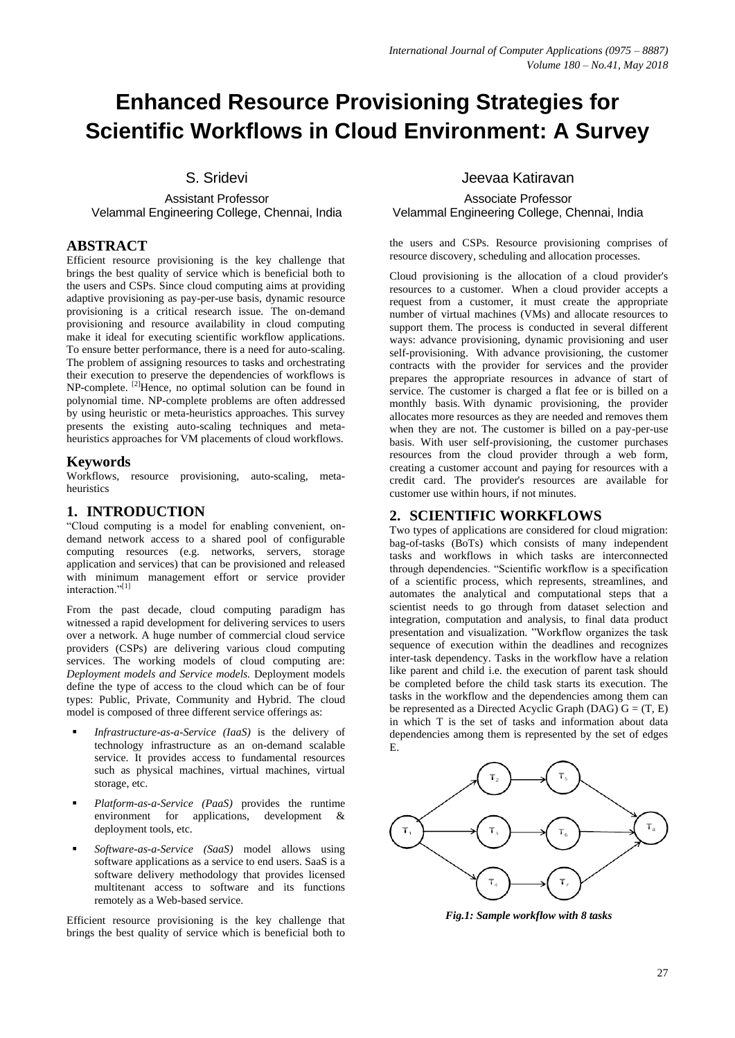# **Enhanced Resource Provisioning Strategies for Scientific Workflows in Cloud Environment: A Survey**

S. Sridevi

#### Assistant Professor Velammal Engineering College, Chennai, India

#### **ABSTRACT**

Efficient resource provisioning is the key challenge that brings the best quality of service which is beneficial both to the users and CSPs. Since cloud computing aims at providing adaptive provisioning as pay-per-use basis, dynamic resource provisioning is a critical research issue. The on-demand provisioning and resource availability in cloud computing make it ideal for executing scientific workflow applications. To ensure better performance, there is a need for auto-scaling. The problem of assigning resources to tasks and orchestrating their execution to preserve the dependencies of workflows is  $NP$ -complete.  $^{[2]}$ Hence, no optimal solution can be found in polynomial time. NP-complete problems are often addressed by using heuristic or meta-heuristics approaches. This survey presents the existing auto-scaling techniques and metaheuristics approaches for VM placements of cloud workflows.

#### **Keywords**

Workflows, resource provisioning, auto-scaling, metaheuristics

#### **1. INTRODUCTION**

"Cloud computing is a model for enabling convenient, ondemand network access to a shared pool of configurable computing resources (e.g. networks, servers, storage application and services) that can be provisioned and released with minimum management effort or service provider interaction."[1]

From the past decade, cloud computing paradigm has witnessed a rapid development for delivering services to users over a network. A huge number of commercial cloud service providers (CSPs) are delivering various cloud computing services. The working models of cloud computing are: *Deployment models and Service models.* Deployment models define the type of access to the cloud which can be of four types: Public, Private, Community and Hybrid. The cloud model is composed of three different service offerings as:

- *Infrastructure-as-a-Service (IaaS)* is the delivery of technology infrastructure as an on-demand scalable service. It provides access to fundamental resources such as physical machines, virtual machines, virtual storage, etc.
- *Platform-as-a-Service (PaaS)* provides the runtime environment for applications, development & deployment tools, etc.
- *Software-as-a-Service (SaaS)* model allows using software applications as a service to end users. SaaS is a software delivery methodology that provides licensed multitenant access to software and its functions remotely as a Web-based service.

Efficient resource provisioning is the key challenge that brings the best quality of service which is beneficial both to

#### Jeevaa Katiravan

Associate Professor Velammal Engineering College, Chennai, India

the users and CSPs. Resource provisioning comprises of resource discovery, scheduling and allocation processes.

Cloud provisioning is the allocation of a cloud provider's resources to a customer. When a cloud provider accepts a request from a customer, it must create the appropriate number of virtual machines (VMs) and allocate resources to support them. The process is conducted in several different ways: advance provisioning, dynamic provisioning and user self-provisioning. With advance provisioning, the customer contracts with the provider for services and the provider prepares the appropriate resources in advance of start of service. The customer is charged a flat fee or is billed on a monthly basis. With dynamic provisioning, the provider allocates more resources as they are needed and removes them when they are not. The customer is billed on a pay-per-use basis. With user self-provisioning, the customer purchases resources from the cloud provider through a web form, creating a customer account and paying for resources with a credit card. The provider's resources are available for customer use within hours, if not minutes.

#### **2. SCIENTIFIC WORKFLOWS**

Two types of applications are considered for cloud migration: bag-of-tasks (BoTs) which consists of many independent tasks and workflows in which tasks are interconnected through dependencies. "Scientific workflow is a specification of a scientific process, which represents, streamlines, and automates the analytical and computational steps that a scientist needs to go through from dataset selection and integration, computation and analysis, to final data product presentation and visualization. "Workflow organizes the task sequence of execution within the deadlines and recognizes inter-task dependency. Tasks in the workflow have a relation like parent and child i.e. the execution of parent task should be completed before the child task starts its execution. The tasks in the workflow and the dependencies among them can be represented as a Directed Acyclic Graph (DAG)  $G = (T, E)$ in which T is the set of tasks and information about data dependencies among them is represented by the set of edges E.



*Fig.1: Sample workflow with 8 tasks*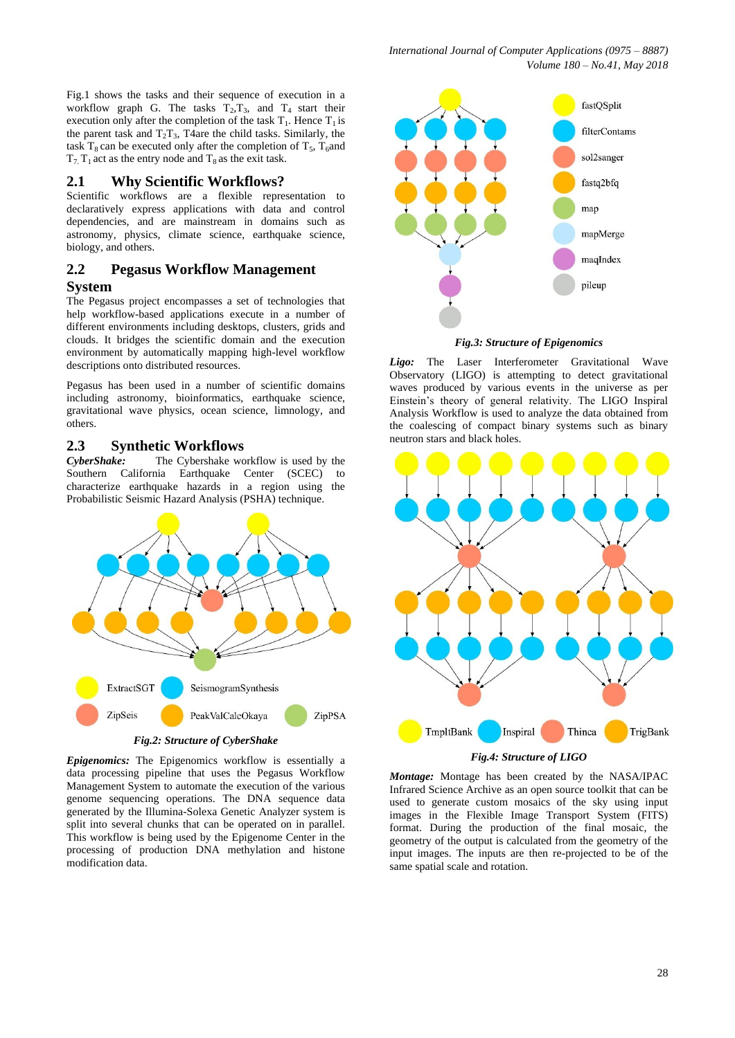Fig.1 shows the tasks and their sequence of execution in a workflow graph G. The tasks  $T_2, T_3$ , and  $T_4$  start their execution only after the completion of the task  $T_1$ . Hence  $T_1$  is the parent task and  $T_2T_3$ , T4are the child tasks. Similarly, the task  $T_8$  can be executed only after the completion of  $T_5$ ,  $T_6$  and  $T_7$ ,  $T_1$  act as the entry node and  $T_8$  as the exit task.

#### **2.1 Why Scientific Workflows?**

Scientific workflows are a flexible representation to declaratively express applications with data and control dependencies, and are mainstream in domains such as astronomy, physics, climate science, earthquake science, biology, and others.

#### **2.2 Pegasus Workflow Management System**

The Pegasus project encompasses a set of technologies that help workflow-based applications execute in a number of different environments including desktops, clusters, grids and clouds. It bridges the scientific domain and the execution environment by automatically mapping high-level workflow descriptions onto distributed resources.

Pegasus has been used in a number of scientific domains including astronomy, bioinformatics, earthquake science, gravitational wave physics, ocean science, limnology, and others.

#### **2.3 Synthetic Workflows**

*CyberShake:* The Cybershake workflow is used by the Southern California Earthquake Center (SCEC) to characterize earthquake hazards in a region using the Probabilistic Seismic Hazard Analysis (PSHA) technique.



*Epigenomics:* The Epigenomics workflow is essentially a data processing pipeline that uses the Pegasus Workflow Management System to automate the execution of the various genome sequencing operations. The DNA sequence data generated by the Illumina-Solexa Genetic Analyzer system is split into several chunks that can be operated on in parallel. This workflow is being used by the Epigenome Center in the processing of production DNA methylation and histone modification data.



*Fig.3: Structure of Epigenomics*

*Ligo:* The Laser Interferometer Gravitational Wave Observatory (LIGO) is attempting to detect gravitational waves produced by various events in the universe as per Einstein's theory of general relativity. The LIGO Inspiral Analysis Workflow is used to analyze the data obtained from the coalescing of compact binary systems such as binary neutron stars and black holes.



*Montage:* Montage has been created by the NASA/IPAC Infrared Science Archive as an open source toolkit that can be used to generate custom mosaics of the sky using input images in the Flexible Image Transport System (FITS) format. During the production of the final mosaic, the geometry of the output is calculated from the geometry of the input images. The inputs are then re-projected to be of the same spatial scale and rotation.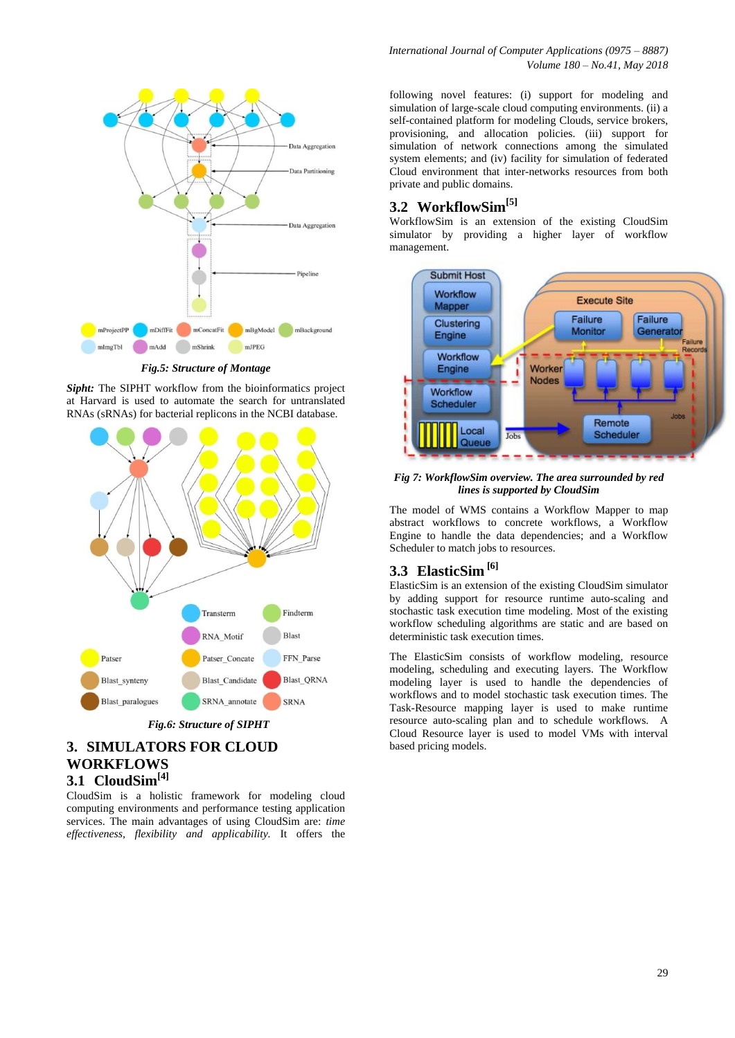

*Fig.5: Structure of Montage*

*Sipht:* The SIPHT workflow from the bioinformatics project at Harvard is used to automate the search for untranslated RNAs (sRNAs) for bacterial replicons in the NCBI database.



## *Fig.6: Structure of SIPHT*

#### **3. SIMULATORS FOR CLOUD WORKFLOWS 3.1 CloudSim[4]**

CloudSim is a holistic framework for modeling cloud computing environments and performance testing application services. The main advantages of using CloudSim are: *time effectiveness, flexibility and applicability.* It offers the

*International Journal of Computer Applications (0975 – 8887) Volume 180 – No.41, May 2018*

following novel features: (i) support for modeling and simulation of large-scale cloud computing environments. (ii) a self-contained platform for modeling Clouds, service brokers, provisioning, and allocation policies. (iii) support for simulation of network connections among the simulated system elements; and (iv) facility for simulation of federated Cloud environment that inter-networks resources from both private and public domains.

## **3.2 WorkflowSim[5]**

WorkflowSim is an extension of the existing CloudSim simulator by providing a higher layer of workflow management.



*Fig 7: WorkflowSim overview. The area surrounded by red lines is supported by CloudSim*

The model of WMS contains a Workflow Mapper to map abstract workflows to concrete workflows, a Workflow Engine to handle the data dependencies; and a Workflow Scheduler to match jobs to resources.

## **3.3 ElasticSim [6]**

ElasticSim is an extension of the existing CloudSim simulator by adding support for resource runtime auto-scaling and stochastic task execution time modeling. Most of the existing workflow scheduling algorithms are static and are based on deterministic task execution times.

The ElasticSim consists of workflow modeling, resource modeling, scheduling and executing layers. The Workflow modeling layer is used to handle the dependencies of workflows and to model stochastic task execution times. The Task-Resource mapping layer is used to make runtime resource auto-scaling plan and to schedule workflows. A Cloud Resource layer is used to model VMs with interval based pricing models.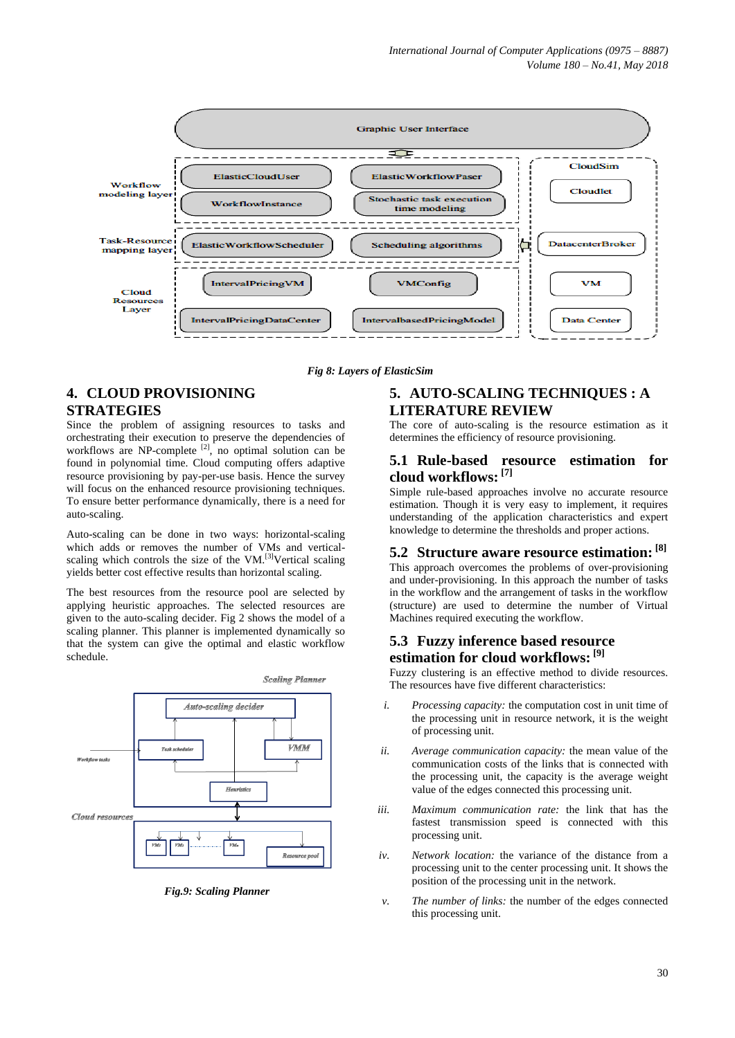

*Fig 8: Layers of ElasticSim*

## **4. CLOUD PROVISIONING STRATEGIES**

Since the problem of assigning resources to tasks and orchestrating their execution to preserve the dependencies of workflows are NP-complete  $[2]$ , no optimal solution can be found in polynomial time. Cloud computing offers adaptive resource provisioning by pay-per-use basis. Hence the survey will focus on the enhanced resource provisioning techniques. To ensure better performance dynamically, there is a need for auto-scaling.

Auto-scaling can be done in two ways: horizontal-scaling which adds or removes the number of VMs and verticalscaling which controls the size of the VM.<sup>[3]</sup>Vertical scaling yields better cost effective results than horizontal scaling.

The best resources from the resource pool are selected by applying heuristic approaches. The selected resources are given to the auto-scaling decider. Fig 2 shows the model of a scaling planner. This planner is implemented dynamically so that the system can give the optimal and elastic workflow schedule.



*Fig.9: Scaling Planner*

#### **5. AUTO-SCALING TECHNIQUES : A LITERATURE REVIEW**

The core of auto-scaling is the resource estimation as it determines the efficiency of resource provisioning.

#### **5.1 Rule-based resource estimation for cloud workflows: [7]**

Simple rule-based approaches involve no accurate resource estimation. Though it is very easy to implement, it requires understanding of the application characteristics and expert knowledge to determine the thresholds and proper actions.

## **5.2 Structure aware resource estimation: [8]**

This approach overcomes the problems of over-provisioning and under-provisioning. In this approach the number of tasks in the workflow and the arrangement of tasks in the workflow (structure) are used to determine the number of Virtual Machines required executing the workflow.

#### **5.3 Fuzzy inference based resource estimation for cloud workflows: [9]**

Fuzzy clustering is an effective method to divide resources. The resources have five different characteristics:

- *i. Processing capacity:* the computation cost in unit time of the processing unit in resource network, it is the weight of processing unit.
- *ii. Average communication capacity:* the mean value of the communication costs of the links that is connected with the processing unit, the capacity is the average weight value of the edges connected this processing unit.
- *iii. Maximum communication rate:* the link that has the fastest transmission speed is connected with this processing unit.
- *iv. Network location:* the variance of the distance from a processing unit to the center processing unit. It shows the position of the processing unit in the network.
- *v. The number of links:* the number of the edges connected this processing unit.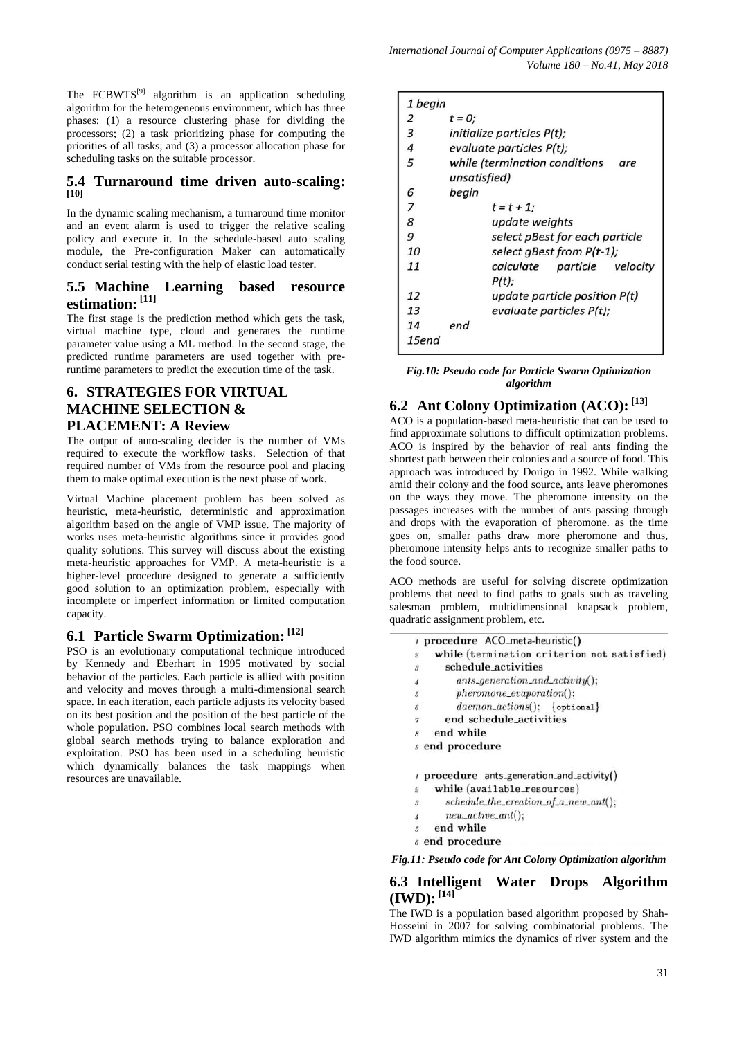The FCBWTS<sup>[9]</sup> algorithm is an application scheduling algorithm for the heterogeneous environment, which has three phases: (1) a resource clustering phase for dividing the processors; (2) a task prioritizing phase for computing the priorities of all tasks; and (3) a processor allocation phase for scheduling tasks on the suitable processor.

#### **5.4 Turnaround time driven auto-scaling: [10]**

In the dynamic scaling mechanism, a turnaround time monitor and an event alarm is used to trigger the relative scaling policy and execute it. In the schedule-based auto scaling module, the Pre-configuration Maker can automatically conduct serial testing with the help of elastic load tester.

#### **5.5 Machine Learning based resource estimation: [11]**

The first stage is the prediction method which gets the task, virtual machine type, cloud and generates the runtime parameter value using a ML method. In the second stage, the predicted runtime parameters are used together with preruntime parameters to predict the execution time of the task.

## **6. STRATEGIES FOR VIRTUAL MACHINE SELECTION & PLACEMENT: A Review**

The output of auto-scaling decider is the number of VMs required to execute the workflow tasks. Selection of that required number of VMs from the resource pool and placing them to make optimal execution is the next phase of work.

Virtual Machine placement problem has been solved as heuristic, meta-heuristic, deterministic and approximation algorithm based on the angle of VMP issue. The majority of works uses meta-heuristic algorithms since it provides good quality solutions. This survey will discuss about the existing meta-heuristic approaches for VMP. A meta-heuristic is a higher-level procedure designed to generate a sufficiently good solution to an optimization problem, especially with incomplete or imperfect information or limited computation capacity.

## **6.1 Particle Swarm Optimization: [12]**

PSO is an evolutionary computational technique introduced by Kennedy and Eberhart in 1995 motivated by social behavior of the particles. Each particle is allied with position and velocity and moves through a multi-dimensional search space. In each iteration, each particle adjusts its velocity based on its best position and the position of the best particle of the whole population. PSO combines local search methods with global search methods trying to balance exploration and exploitation. PSO has been used in a scheduling heuristic which dynamically balances the task mappings when resources are unavailable.

| 1 begin |                                                      |
|---------|------------------------------------------------------|
| 2       | $t = 0$ ;                                            |
| 3       | <i>initialize particles P(t);</i>                    |
| 4       | evaluate particles P(t);                             |
| 5       | while (termination conditions<br>are<br>unsatisfied) |
| 6       | begin                                                |
| 7       | $t = t + 1$ ;                                        |
| 8       | update weights                                       |
| 9       | select pBest for each particle                       |
| 10      | select gBest from P(t-1);                            |
| 11      | calculate particle<br>velocity<br>$P(t)$ :           |
| 12      | update particle position $P(t)$                      |
| 13      | evaluate particles P(t);                             |
| 14      | end                                                  |
| 15end   |                                                      |

*Fig.10: Pseudo code for Particle Swarm Optimization algorithm*

## **6.2 Ant Colony Optimization (ACO): [13]**

ACO is a population-based meta-heuristic that can be used to find approximate solutions to difficult optimization problems. ACO is inspired by the behavior of real ants finding the shortest path between their colonies and a source of food. This approach was introduced by Dorigo in 1992. While walking amid their colony and the food source, ants leave pheromones on the ways they move. The pheromone intensity on the passages increases with the number of ants passing through and drops with the evaporation of pheromone. as the time goes on, smaller paths draw more pheromone and thus, pheromone intensity helps ants to recognize smaller paths to the food source.

ACO methods are useful for solving discrete optimization problems that need to find paths to goals such as traveling salesman problem, multidimensional knapsack problem, quadratic assignment problem, etc.

|                       | procedure ACO_meta-heuristic()              |
|-----------------------|---------------------------------------------|
| $\overline{2}$        | while (termination_criterion_not_satisfied) |
| $\boldsymbol{s}$      | schedule activities                         |
| $\overline{4}$        | $ants\_generation\_and\_activity()$ :       |
| $\overline{5}$        | $phenome\_evaporation$ $);$                 |
| $\pmb{\delta}$        | $daemon\_actions():$ {optional}             |
| $\boldsymbol{\gamma}$ | end schedule activities                     |
| 8                     | end while                                   |
|                       | <sub>9</sub> end procedure                  |
|                       | procedure ants_generation_and_activity()    |
| $\overline{2}$        | while (available_resources)                 |
| $\boldsymbol{s}$      | $schedule\_the\_creation\_of_a_new\_ant();$ |
|                       | $new\_active\_ant()$ :                      |
| $\overline{5}$        | end while                                   |

 $\delta$  end procedure

*Fig.11: Pseudo code for Ant Colony Optimization algorithm*

#### **6.3 Intelligent Water Drops Algorithm (IWD): [14]**

The IWD is a population based algorithm proposed by Shah-Hosseini in 2007 for solving combinatorial problems. The IWD algorithm mimics the dynamics of river system and the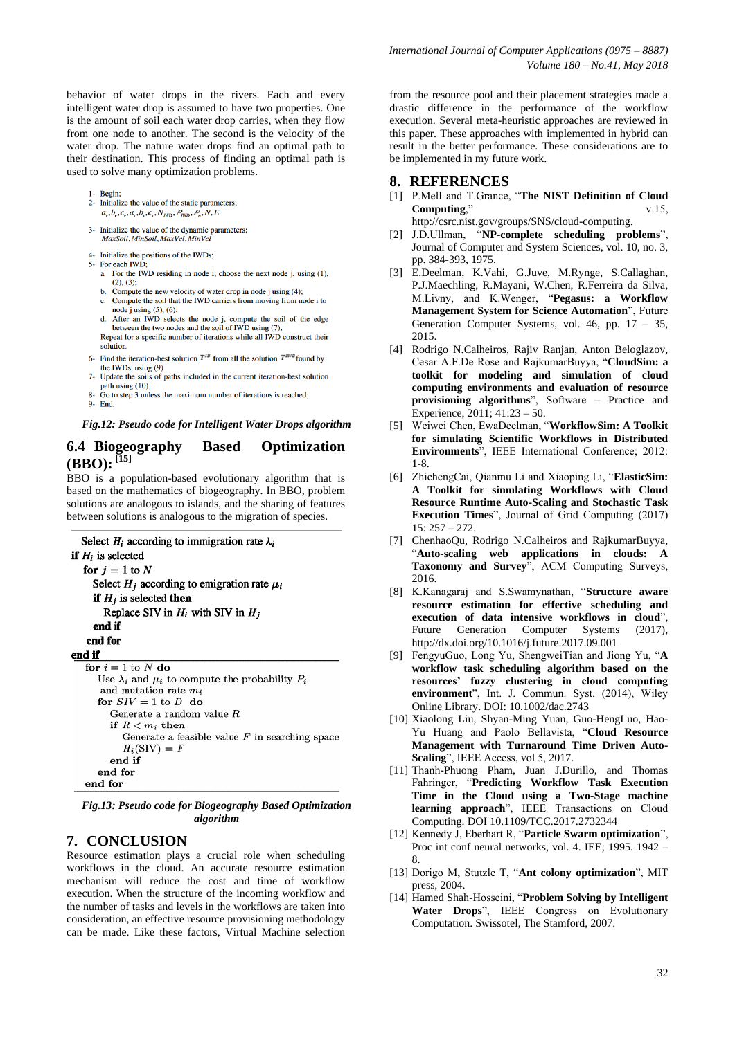behavior of water drops in the rivers. Each and every intelligent water drop is assumed to have two properties. One is the amount of soil each water drop carries, when they flow from one node to another. The second is the velocity of the water drop. The nature water drops find an optimal path to their destination. This process of finding an optimal path is used to solve many optimization problems.

- 1- Begin;
- 2- Initialize the value of the static parameters:  $a_{v}, b_{v}, c_{v}, a_{s}, b_{s}, c_{s}, N_{W\!D}, \mathcal{P}_{W\!D}, \mathcal{P}_{n}, N, E$
- 3- Initialize the value of the dynamic parameters; MaxSoil, MinSoil, MaxVel, MinVel
- 4- Initialize the positions of the IWDs:
- 5- For each IWD;
	- a. For the IWD residing in node i, choose the next node j, using  $(1)$ ,  $(2)$   $(3)$
	- Compute the new velocity of water drop in node j using  $(4)$ ;  $\mathbf{b}$ . c.
	- Compute the soil that the IWD carriers from moving from node i to
	- between the two nodes and the soil of IWD using (7);<br>Repeat for a specific number of iterations while all IWD construct their solution.
- 6- Find the iteration-best solution  $T^{IB}$  from all the solution  $T^{IWD}$  found by the IWDs, using  $(9)$
- 7- Update the soils of paths included in the current iteration-best solution path using  $(10)$ ;<br>Go to step 3 unless the maximum number of iterations is reached;
- 9- End.

#### *Fig.12: Pseudo code for Intelligent Water Drops algorithm*

#### **6.4 Biogeography Based Optimization**  $(BBO):$ <sup>[15]</sup>

BBO is a population-based evolutionary algorithm that is based on the mathematics of biogeography. In BBO, problem solutions are analogous to islands, and the sharing of features between solutions is analogous to the migration of species.

```
Select H_i according to immigration rate \lambda_iif H_i is selected
  for j = 1 to N
    Select H_i according to emigration rate \mu_iif H_i is selected then
       Replace SIV in H_i with SIV in H_iend if
   end for
end if
  for i = 1 to N do
     Use \lambda_i and \mu_i to compute the probability P_iand mutation rate m_ifor SIV = 1 to D do
        Generate a random value \cal Rif R < m_i then
           Generate a feasible value F in searching space
           H_i(SIV) = Fend if
     end for
  end for
```
*Fig.13: Pseudo code for Biogeography Based Optimization algorithm*

#### **7. CONCLUSION**

Resource estimation plays a crucial role when scheduling workflows in the cloud. An accurate resource estimation mechanism will reduce the cost and time of workflow execution. When the structure of the incoming workflow and the number of tasks and levels in the workflows are taken into consideration, an effective resource provisioning methodology can be made. Like these factors, Virtual Machine selection

from the resource pool and their placement strategies made a drastic difference in the performance of the workflow execution. Several meta-heuristic approaches are reviewed in this paper. These approaches with implemented in hybrid can result in the better performance. These considerations are to be implemented in my future work.

#### **8. REFERENCES**

- [1] P.Mell and T.Grance, "**The NIST Definition of Cloud Computing**," v.15, http://csrc.nist.gov/groups/SNS/cloud-computing.
- [2] J.D.Ullman, "**NP-complete scheduling problems**", Journal of Computer and System Sciences, vol. 10, no. 3, pp. 384-393, 1975.
- [3] E.Deelman, K.Vahi, G.Juve, M.Rynge, S.Callaghan, P.J.Maechling, R.Mayani, W.Chen, R.Ferreira da Silva, M.Livny, and K.Wenger, "**Pegasus: a Workflow Management System for Science Automation**", Future Generation Computer Systems, vol. 46, pp. 17 – 35, 2015.
- [4] Rodrigo N.Calheiros, Rajiv Ranjan, Anton Beloglazov, Cesar A.F.De Rose and RajkumarBuyya, "**CloudSim: a toolkit for modeling and simulation of cloud computing environments and evaluation of resource provisioning algorithms**", Software – Practice and Experience, 2011; 41:23 – 50.
- [5] Weiwei Chen, EwaDeelman, "**WorkflowSim: A Toolkit for simulating Scientific Workflows in Distributed Environments**", IEEE International Conference; 2012: 1-8.
- [6] ZhichengCai, Qianmu Li and Xiaoping Li, "**ElasticSim: A Toolkit for simulating Workflows with Cloud Resource Runtime Auto-Scaling and Stochastic Task Execution Times**", Journal of Grid Computing (2017) 15: 257 – 272.
- [7] ChenhaoQu, Rodrigo N.Calheiros and RajkumarBuyya, "**Auto-scaling web applications in clouds: A Taxonomy and Survey**", ACM Computing Surveys, 2016.
- [8] K.Kanagaraj and S.Swamynathan, "**Structure aware resource estimation for effective scheduling and execution of data intensive workflows in cloud**", Future Generation Computer Systems (2017), http://dx.doi.org/10.1016/j.future.2017.09.001
- [9] FengyuGuo, Long Yu, ShengweiTian and Jiong Yu, "**A workflow task scheduling algorithm based on the resources' fuzzy clustering in cloud computing environment**", Int. J. Commun. Syst. (2014), Wiley Online Library. DOI: 10.1002/dac.2743
- [10] Xiaolong Liu, Shyan-Ming Yuan, Guo-HengLuo, Hao-Yu Huang and Paolo Bellavista, "**Cloud Resource Management with Turnaround Time Driven Auto-Scaling**", IEEE Access, vol 5, 2017.
- [11] Thanh-Phuong Pham, Juan J.Durillo, and Thomas Fahringer, "**Predicting Workflow Task Execution Time in the Cloud using a Two-Stage machine learning approach**", IEEE Transactions on Cloud Computing. DOI 10.1109/TCC.2017.2732344
- [12] Kennedy J, Eberhart R, "**Particle Swarm optimization**", Proc int conf neural networks, vol. 4. IEE; 1995. 1942 – 8.
- [13] Dorigo M, Stutzle T, "**Ant colony optimization**", MIT press, 2004.
- [14] Hamed Shah-Hosseini, "**Problem Solving by Intelligent Water Drops**", IEEE Congress on Evolutionary Computation. Swissotel, The Stamford, 2007.